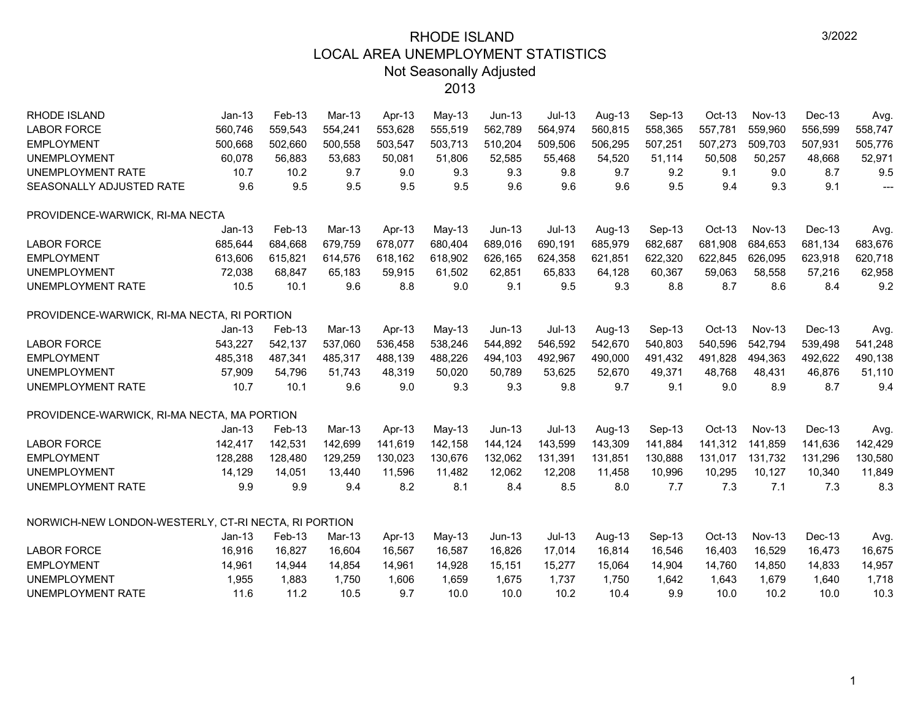| <b>RHODE ISLAND</b>                                  | $Jan-13$ | Feb-13  | Mar-13   | Apr-13  | May-13  | $Jun-13$ | $Jul-13$ | Aug-13  | Sep-13  | Oct-13   | <b>Nov-13</b> | Dec-13  | Avg.           |
|------------------------------------------------------|----------|---------|----------|---------|---------|----------|----------|---------|---------|----------|---------------|---------|----------------|
| <b>LABOR FORCE</b>                                   | 560,746  | 559,543 | 554,241  | 553,628 | 555,519 | 562,789  | 564,974  | 560,815 | 558,365 | 557,781  | 559,960       | 556,599 | 558,747        |
| <b>EMPLOYMENT</b>                                    | 500,668  | 502,660 | 500,558  | 503,547 | 503,713 | 510,204  | 509,506  | 506,295 | 507,251 | 507,273  | 509,703       | 507,931 | 505,776        |
| <b>UNEMPLOYMENT</b>                                  | 60,078   | 56,883  | 53,683   | 50,081  | 51,806  | 52,585   | 55,468   | 54,520  | 51,114  | 50,508   | 50,257        | 48,668  | 52,971         |
| <b>UNEMPLOYMENT RATE</b>                             | 10.7     | 10.2    | 9.7      | 9.0     | 9.3     | 9.3      | 9.8      | 9.7     | 9.2     | 9.1      | 9.0           | 8.7     | 9.5            |
| SEASONALLY ADJUSTED RATE                             | 9.6      | 9.5     | 9.5      | 9.5     | 9.5     | 9.6      | 9.6      | 9.6     | 9.5     | 9.4      | 9.3           | 9.1     | $\overline{a}$ |
| PROVIDENCE-WARWICK, RI-MA NECTA                      |          |         |          |         |         |          |          |         |         |          |               |         |                |
|                                                      | $Jan-13$ | Feb-13  | $Mar-13$ | Apr-13  | May-13  | $Jun-13$ | $Jul-13$ | Aug-13  | Sep-13  | $Oct-13$ | <b>Nov-13</b> | Dec-13  | Avg.           |
| <b>LABOR FORCE</b>                                   | 685,644  | 684,668 | 679,759  | 678,077 | 680,404 | 689,016  | 690,191  | 685,979 | 682,687 | 681,908  | 684,653       | 681,134 | 683,676        |
| <b>EMPLOYMENT</b>                                    | 613,606  | 615,821 | 614,576  | 618,162 | 618,902 | 626,165  | 624,358  | 621,851 | 622,320 | 622,845  | 626,095       | 623,918 | 620,718        |
| <b>UNEMPLOYMENT</b>                                  | 72,038   | 68,847  | 65.183   | 59,915  | 61,502  | 62,851   | 65,833   | 64,128  | 60,367  | 59,063   | 58,558        | 57,216  | 62,958         |
| UNEMPLOYMENT RATE                                    | 10.5     | 10.1    | 9.6      | 8.8     | 9.0     | 9.1      | 9.5      | 9.3     | 8.8     | 8.7      | 8.6           | 8.4     | 9.2            |
| PROVIDENCE-WARWICK, RI-MA NECTA, RI PORTION          |          |         |          |         |         |          |          |         |         |          |               |         |                |
|                                                      | $Jan-13$ | Feb-13  | Mar-13   | Apr-13  | May-13  | $Jun-13$ | $Jul-13$ | Aug-13  | Sep-13  | $Oct-13$ | <b>Nov-13</b> | Dec-13  | Avg.           |
| <b>LABOR FORCE</b>                                   | 543,227  | 542,137 | 537,060  | 536,458 | 538,246 | 544,892  | 546,592  | 542,670 | 540,803 | 540,596  | 542,794       | 539,498 | 541,248        |
| <b>EMPLOYMENT</b>                                    | 485,318  | 487,341 | 485,317  | 488,139 | 488,226 | 494,103  | 492,967  | 490,000 | 491,432 | 491,828  | 494,363       | 492,622 | 490,138        |
| <b>UNEMPLOYMENT</b>                                  | 57,909   | 54,796  | 51.743   | 48,319  | 50,020  | 50.789   | 53,625   | 52,670  | 49,371  | 48,768   | 48,431        | 46,876  | 51,110         |
| UNEMPLOYMENT RATE                                    | 10.7     | 10.1    | 9.6      | 9.0     | 9.3     | 9.3      | 9.8      | 9.7     | 9.1     | 9.0      | 8.9           | 8.7     | 9.4            |
| PROVIDENCE-WARWICK, RI-MA NECTA, MA PORTION          |          |         |          |         |         |          |          |         |         |          |               |         |                |
|                                                      | $Jan-13$ | Feb-13  | Mar-13   | Apr-13  | May-13  | $Jun-13$ | $Jul-13$ | Aug-13  | Sep-13  | $Oct-13$ | <b>Nov-13</b> | Dec-13  | Avg.           |
| <b>LABOR FORCE</b>                                   | 142,417  | 142,531 | 142,699  | 141,619 | 142,158 | 144,124  | 143,599  | 143,309 | 141,884 | 141,312  | 141,859       | 141,636 | 142,429        |
| <b>EMPLOYMENT</b>                                    | 128,288  | 128,480 | 129,259  | 130,023 | 130,676 | 132,062  | 131,391  | 131,851 | 130,888 | 131,017  | 131,732       | 131,296 | 130,580        |
| <b>UNEMPLOYMENT</b>                                  | 14,129   | 14,051  | 13,440   | 11,596  | 11,482  | 12,062   | 12,208   | 11,458  | 10,996  | 10,295   | 10,127        | 10,340  | 11,849         |
| UNEMPLOYMENT RATE                                    | 9.9      | 9.9     | 9.4      | 8.2     | 8.1     | 8.4      | 8.5      | 8.0     | 7.7     | 7.3      | 7.1           | 7.3     | 8.3            |
| NORWICH-NEW LONDON-WESTERLY, CT-RI NECTA, RI PORTION |          |         |          |         |         |          |          |         |         |          |               |         |                |
|                                                      | $Jan-13$ | Feb-13  | Mar-13   | Apr-13  | May-13  | $Jun-13$ | $Jul-13$ | Aug-13  | Sep-13  | $Oct-13$ | <b>Nov-13</b> | Dec-13  | Avg.           |
| <b>LABOR FORCE</b>                                   | 16,916   | 16,827  | 16,604   | 16,567  | 16,587  | 16,826   | 17,014   | 16,814  | 16,546  | 16,403   | 16,529        | 16,473  | 16,675         |
| <b>EMPLOYMENT</b>                                    | 14,961   | 14,944  | 14,854   | 14,961  | 14,928  | 15,151   | 15,277   | 15,064  | 14,904  | 14,760   | 14,850        | 14,833  | 14,957         |
| <b>UNEMPLOYMENT</b>                                  | 1,955    | 1,883   | 1,750    | 1,606   | 1,659   | 1,675    | 1,737    | 1,750   | 1,642   | 1,643    | 1,679         | 1,640   | 1,718          |
| <b>UNEMPLOYMENT RATE</b>                             | 11.6     | 11.2    | 10.5     | 9.7     | 10.0    | 10.0     | 10.2     | 10.4    | 9.9     | 10.0     | 10.2          | 10.0    | 10.3           |
|                                                      |          |         |          |         |         |          |          |         |         |          |               |         |                |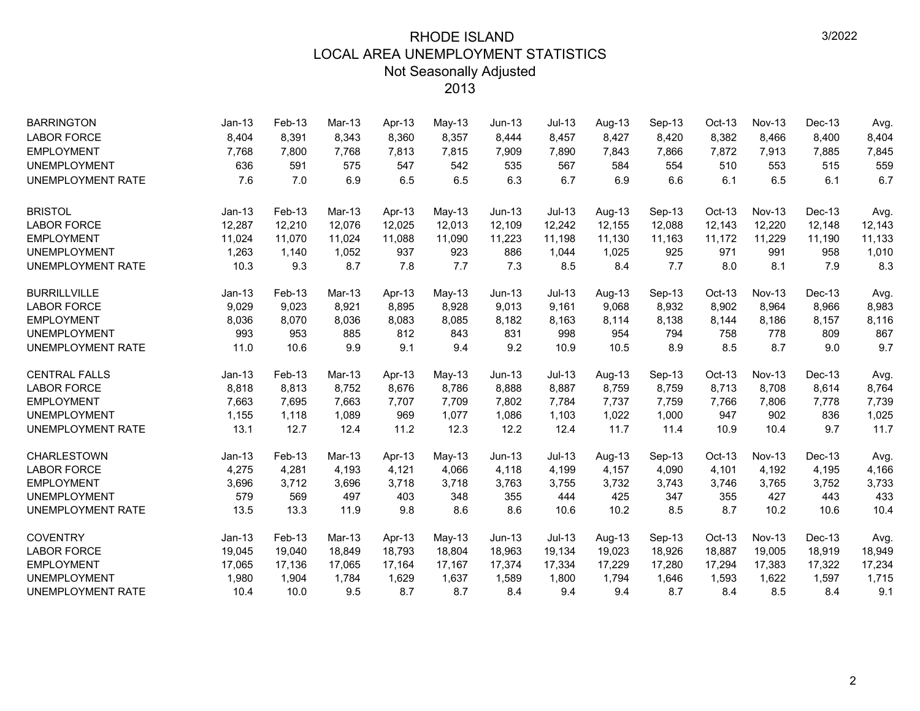| <b>BARRINGTON</b>        | Jan-13   | Feb-13 | $Mar-13$ | Apr-13 | $May-13$ | $Jun-13$      | $Jul-13$ | Aug-13 | Sep-13 | $Oct-13$ | <b>Nov-13</b> | Dec-13 | Avg.   |
|--------------------------|----------|--------|----------|--------|----------|---------------|----------|--------|--------|----------|---------------|--------|--------|
| <b>LABOR FORCE</b>       | 8,404    | 8,391  | 8.343    | 8,360  | 8,357    | 8,444         | 8,457    | 8,427  | 8,420  | 8,382    | 8,466         | 8,400  | 8,404  |
| <b>EMPLOYMENT</b>        | 7,768    | 7,800  | 7,768    | 7,813  | 7,815    | 7,909         | 7,890    | 7,843  | 7,866  | 7,872    | 7,913         | 7,885  | 7,845  |
| <b>UNEMPLOYMENT</b>      | 636      | 591    | 575      | 547    | 542      | 535           | 567      | 584    | 554    | 510      | 553           | 515    | 559    |
| <b>UNEMPLOYMENT RATE</b> | 7.6      | 7.0    | 6.9      | 6.5    | 6.5      | 6.3           | 6.7      | 6.9    | 6.6    | 6.1      | 6.5           | 6.1    | 6.7    |
| <b>BRISTOL</b>           | $Jan-13$ | Feb-13 | $Mar-13$ | Apr-13 | May-13   | $Jun-13$      | $Jul-13$ | Aug-13 | Sep-13 | Oct-13   | <b>Nov-13</b> | Dec-13 | Avg.   |
| <b>LABOR FORCE</b>       | 12,287   | 12,210 | 12,076   | 12,025 | 12,013   | 12,109        | 12,242   | 12,155 | 12,088 | 12,143   | 12,220        | 12,148 | 12,143 |
| <b>EMPLOYMENT</b>        | 11,024   | 11,070 | 11,024   | 11,088 | 11,090   | 11,223        | 11,198   | 11,130 | 11,163 | 11,172   | 11,229        | 11,190 | 11,133 |
| <b>UNEMPLOYMENT</b>      | 1,263    | 1,140  | 1,052    | 937    | 923      | 886           | 1,044    | 1,025  | 925    | 971      | 991           | 958    | 1,010  |
| <b>UNEMPLOYMENT RATE</b> | 10.3     | 9.3    | 8.7      | 7.8    | 7.7      | 7.3           | 8.5      | 8.4    | 7.7    | 8.0      | 8.1           | 7.9    | 8.3    |
| <b>BURRILLVILLE</b>      | $Jan-13$ | Feb-13 | Mar-13   | Apr-13 | May-13   | <b>Jun-13</b> | Jul-13   | Aug-13 | Sep-13 | Oct-13   | <b>Nov-13</b> | Dec-13 | Avg.   |
| <b>LABOR FORCE</b>       | 9,029    | 9,023  | 8,921    | 8,895  | 8,928    | 9,013         | 9,161    | 9,068  | 8,932  | 8,902    | 8,964         | 8,966  | 8,983  |
| <b>EMPLOYMENT</b>        | 8,036    | 8,070  | 8,036    | 8,083  | 8,085    | 8,182         | 8,163    | 8,114  | 8,138  | 8,144    | 8,186         | 8,157  | 8,116  |
| <b>UNEMPLOYMENT</b>      | 993      | 953    | 885      | 812    | 843      | 831           | 998      | 954    | 794    | 758      | 778           | 809    | 867    |
| <b>UNEMPLOYMENT RATE</b> | 11.0     | 10.6   | 9.9      | 9.1    | 9.4      | 9.2           | 10.9     | 10.5   | 8.9    | 8.5      | 8.7           | 9.0    | 9.7    |
| <b>CENTRAL FALLS</b>     | $Jan-13$ | Feb-13 | Mar-13   | Apr-13 | $May-13$ | <b>Jun-13</b> | $Jul-13$ | Aug-13 | Sep-13 | Oct-13   | <b>Nov-13</b> | Dec-13 | Avg.   |
| <b>LABOR FORCE</b>       | 8,818    | 8,813  | 8,752    | 8,676  | 8,786    | 8,888         | 8,887    | 8,759  | 8,759  | 8,713    | 8,708         | 8,614  | 8,764  |
| <b>EMPLOYMENT</b>        | 7,663    | 7,695  | 7.663    | 7,707  | 7,709    | 7.802         | 7,784    | 7,737  | 7,759  | 7,766    | 7,806         | 7,778  | 7,739  |
| <b>UNEMPLOYMENT</b>      | 1,155    | 1,118  | 1,089    | 969    | 1,077    | 1,086         | 1,103    | 1,022  | 1,000  | 947      | 902           | 836    | 1,025  |
| <b>UNEMPLOYMENT RATE</b> | 13.1     | 12.7   | 12.4     | 11.2   | 12.3     | 12.2          | 12.4     | 11.7   | 11.4   | 10.9     | 10.4          | 9.7    | 11.7   |
| CHARLESTOWN              | $Jan-13$ | Feb-13 | Mar-13   | Apr-13 | $May-13$ | <b>Jun-13</b> | Jul-13   | Aug-13 | Sep-13 | Oct-13   | <b>Nov-13</b> | Dec-13 | Avg.   |
| <b>LABOR FORCE</b>       | 4,275    | 4,281  | 4,193    | 4,121  | 4,066    | 4,118         | 4,199    | 4,157  | 4,090  | 4,101    | 4,192         | 4,195  | 4,166  |
| <b>EMPLOYMENT</b>        | 3,696    | 3,712  | 3,696    | 3,718  | 3,718    | 3,763         | 3,755    | 3,732  | 3,743  | 3,746    | 3,765         | 3,752  | 3,733  |
| <b>UNEMPLOYMENT</b>      | 579      | 569    | 497      | 403    | 348      | 355           | 444      | 425    | 347    | 355      | 427           | 443    | 433    |
| <b>UNEMPLOYMENT RATE</b> | 13.5     | 13.3   | 11.9     | 9.8    | 8.6      | 8.6           | 10.6     | 10.2   | 8.5    | 8.7      | 10.2          | 10.6   | 10.4   |
| <b>COVENTRY</b>          | $Jan-13$ | Feb-13 | Mar-13   | Apr-13 | May-13   | $Jun-13$      | $Jul-13$ | Aug-13 | Sep-13 | Oct-13   | <b>Nov-13</b> | Dec-13 | Avg.   |
| <b>LABOR FORCE</b>       | 19,045   | 19,040 | 18,849   | 18,793 | 18,804   | 18,963        | 19,134   | 19,023 | 18,926 | 18,887   | 19,005        | 18,919 | 18,949 |
| <b>EMPLOYMENT</b>        | 17,065   | 17,136 | 17,065   | 17,164 | 17,167   | 17,374        | 17,334   | 17,229 | 17,280 | 17,294   | 17,383        | 17,322 | 17,234 |
| <b>UNEMPLOYMENT</b>      | 1,980    | 1,904  | 1,784    | 1,629  | 1,637    | 1,589         | 1,800    | 1,794  | 1,646  | 1,593    | 1,622         | 1,597  | 1,715  |
| <b>UNEMPLOYMENT RATE</b> | 10.4     | 10.0   | 9.5      | 8.7    | 8.7      | 8.4           | 9.4      | 9.4    | 8.7    | 8.4      | 8.5           | 8.4    | 9.1    |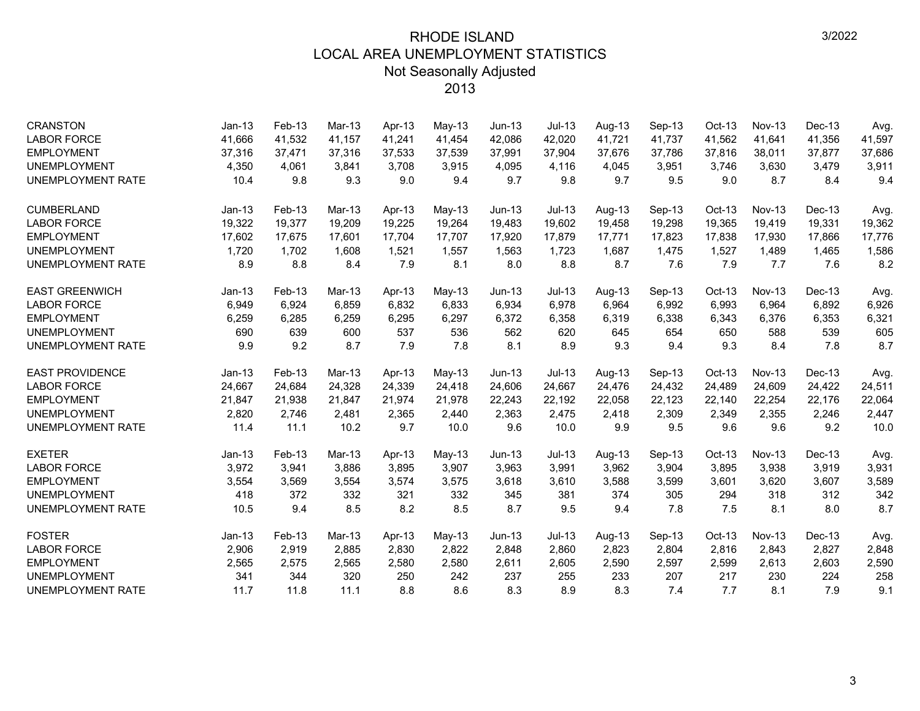| <b>CRANSTON</b>          | $Jan-13$ | Feb-13 | Mar-13   | Apr-13 | May-13   | Jun-13        | <b>Jul-13</b> | Aug-13 | Sep-13 | Oct-13   | <b>Nov-13</b> | Dec-13 | Avg.   |
|--------------------------|----------|--------|----------|--------|----------|---------------|---------------|--------|--------|----------|---------------|--------|--------|
| <b>LABOR FORCE</b>       | 41,666   | 41,532 | 41,157   | 41,241 | 41,454   | 42,086        | 42,020        | 41,721 | 41,737 | 41,562   | 41,641        | 41,356 | 41,597 |
| <b>EMPLOYMENT</b>        | 37,316   | 37,471 | 37,316   | 37,533 | 37,539   | 37,991        | 37,904        | 37,676 | 37,786 | 37,816   | 38,011        | 37,877 | 37,686 |
| <b>UNEMPLOYMENT</b>      | 4,350    | 4,061  | 3,841    | 3,708  | 3,915    | 4,095         | 4,116         | 4,045  | 3,951  | 3,746    | 3,630         | 3,479  | 3,911  |
| <b>UNEMPLOYMENT RATE</b> | 10.4     | 9.8    | 9.3      | 9.0    | 9.4      | 9.7           | 9.8           | 9.7    | 9.5    | 9.0      | 8.7           | 8.4    | 9.4    |
| <b>CUMBERLAND</b>        | $Jan-13$ | Feb-13 | $Mar-13$ | Apr-13 | $May-13$ | $Jun-13$      | $Jul-13$      | Aug-13 | Sep-13 | Oct-13   | <b>Nov-13</b> | Dec-13 | Avg.   |
| <b>LABOR FORCE</b>       | 19,322   | 19,377 | 19,209   | 19,225 | 19,264   | 19,483        | 19,602        | 19,458 | 19,298 | 19,365   | 19,419        | 19,331 | 19,362 |
| <b>EMPLOYMENT</b>        | 17,602   | 17,675 | 17.601   | 17,704 | 17,707   | 17,920        | 17,879        | 17,771 | 17,823 | 17,838   | 17,930        | 17,866 | 17,776 |
| <b>UNEMPLOYMENT</b>      | 1,720    | 1,702  | 1,608    | 1,521  | 1,557    | 1,563         | 1,723         | 1,687  | 1,475  | 1,527    | 1,489         | 1,465  | 1,586  |
| UNEMPLOYMENT RATE        | 8.9      | 8.8    | 8.4      | 7.9    | 8.1      | 8.0           | 8.8           | 8.7    | 7.6    | 7.9      | 7.7           | 7.6    | 8.2    |
| <b>EAST GREENWICH</b>    | $Jan-13$ | Feb-13 | Mar-13   | Apr-13 | May-13   | $Jun-13$      | $Jul-13$      | Aug-13 | Sep-13 | Oct-13   | $Nov-13$      | Dec-13 | Avg.   |
| <b>LABOR FORCE</b>       | 6,949    | 6,924  | 6,859    | 6,832  | 6,833    | 6,934         | 6,978         | 6,964  | 6,992  | 6,993    | 6,964         | 6,892  | 6,926  |
| <b>EMPLOYMENT</b>        | 6,259    | 6,285  | 6,259    | 6,295  | 6,297    | 6,372         | 6,358         | 6,319  | 6,338  | 6,343    | 6,376         | 6,353  | 6,321  |
| <b>UNEMPLOYMENT</b>      | 690      | 639    | 600      | 537    | 536      | 562           | 620           | 645    | 654    | 650      | 588           | 539    | 605    |
| UNEMPLOYMENT RATE        | 9.9      | 9.2    | 8.7      | 7.9    | 7.8      | 8.1           | 8.9           | 9.3    | 9.4    | 9.3      | 8.4           | 7.8    | 8.7    |
| <b>EAST PROVIDENCE</b>   | $Jan-13$ | Feb-13 | Mar-13   | Apr-13 | May-13   | <b>Jun-13</b> | $Jul-13$      | Aug-13 | Sep-13 | $Oct-13$ | $Nov-13$      | Dec-13 | Avg.   |
| <b>LABOR FORCE</b>       | 24,667   | 24,684 | 24,328   | 24,339 | 24,418   | 24,606        | 24,667        | 24,476 | 24,432 | 24,489   | 24,609        | 24,422 | 24,511 |
| <b>EMPLOYMENT</b>        | 21,847   | 21,938 | 21,847   | 21,974 | 21,978   | 22,243        | 22,192        | 22,058 | 22,123 | 22,140   | 22,254        | 22,176 | 22,064 |
| <b>UNEMPLOYMENT</b>      | 2,820    | 2,746  | 2,481    | 2,365  | 2,440    | 2,363         | 2,475         | 2,418  | 2,309  | 2,349    | 2,355         | 2,246  | 2,447  |
| UNEMPLOYMENT RATE        | 11.4     | 11.1   | 10.2     | 9.7    | 10.0     | 9.6           | 10.0          | 9.9    | 9.5    | 9.6      | 9.6           | 9.2    | 10.0   |
| <b>EXETER</b>            | $Jan-13$ | Feb-13 | Mar-13   | Apr-13 | $May-13$ | $Jun-13$      | $Jul-13$      | Aug-13 | Sep-13 | Oct-13   | <b>Nov-13</b> | Dec-13 | Avg.   |
| <b>LABOR FORCE</b>       | 3,972    | 3,941  | 3,886    | 3,895  | 3,907    | 3,963         | 3,991         | 3,962  | 3,904  | 3,895    | 3,938         | 3,919  | 3,931  |
| <b>EMPLOYMENT</b>        | 3,554    | 3,569  | 3,554    | 3,574  | 3,575    | 3,618         | 3,610         | 3,588  | 3,599  | 3,601    | 3,620         | 3,607  | 3,589  |
| <b>UNEMPLOYMENT</b>      | 418      | 372    | 332      | 321    | 332      | 345           | 381           | 374    | 305    | 294      | 318           | 312    | 342    |
| <b>UNEMPLOYMENT RATE</b> | 10.5     | 9.4    | 8.5      | 8.2    | 8.5      | 8.7           | 9.5           | 9.4    | 7.8    | 7.5      | 8.1           | 8.0    | 8.7    |
| <b>FOSTER</b>            | $Jan-13$ | Feb-13 | Mar-13   | Apr-13 | May-13   | $Jun-13$      | $Jul-13$      | Aug-13 | Sep-13 | Oct-13   | <b>Nov-13</b> | Dec-13 | Avg.   |
| <b>LABOR FORCE</b>       | 2,906    | 2,919  | 2,885    | 2,830  | 2,822    | 2,848         | 2,860         | 2,823  | 2,804  | 2,816    | 2,843         | 2,827  | 2,848  |
| <b>EMPLOYMENT</b>        | 2,565    | 2,575  | 2,565    | 2,580  | 2,580    | 2,611         | 2,605         | 2,590  | 2,597  | 2,599    | 2,613         | 2,603  | 2,590  |
| <b>UNEMPLOYMENT</b>      | 341      | 344    | 320      | 250    | 242      | 237           | 255           | 233    | 207    | 217      | 230           | 224    | 258    |
| <b>UNEMPLOYMENT RATE</b> | 11.7     | 11.8   | 11.1     | 8.8    | 8.6      | 8.3           | 8.9           | 8.3    | 7.4    | 7.7      | 8.1           | 7.9    | 9.1    |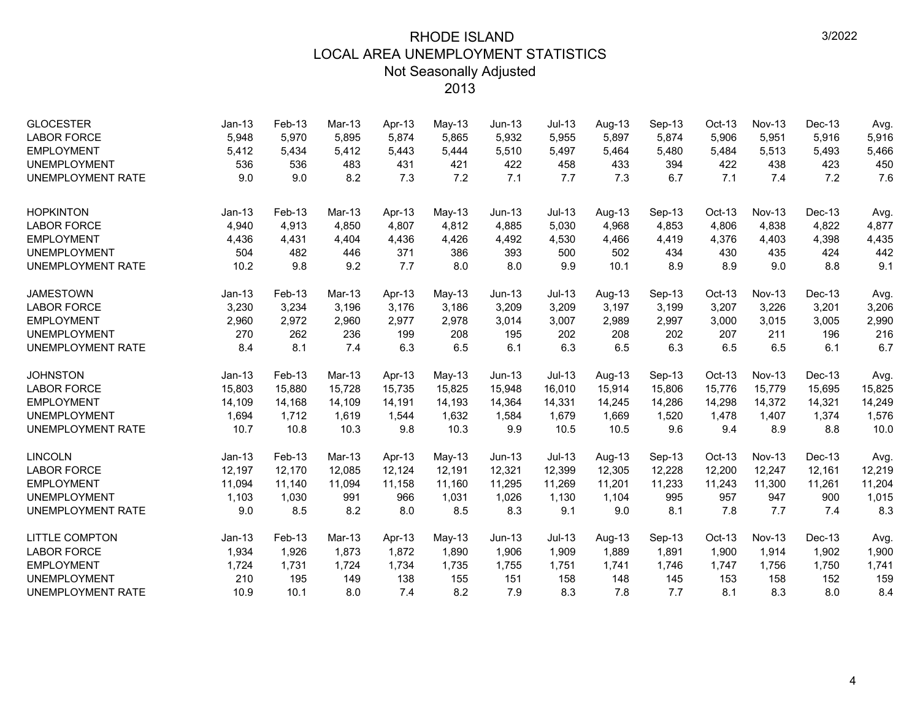| <b>GLOCESTER</b><br><b>LABOR FORCE</b><br><b>EMPLOYMENT</b><br><b>UNEMPLOYMENT</b> | $Jan-13$<br>5,948<br>5,412<br>536 | Feb-13<br>5,970<br>5,434<br>536 | $Mar-13$<br>5,895<br>5,412<br>483 | Apr-13<br>5,874<br>5,443<br>431 | May-13<br>5,865<br>5,444<br>421 | Jun-13<br>5,932<br>5,510<br>422 | $Jul-13$<br>5,955<br>5,497<br>458 | Aug-13<br>5,897<br>5,464<br>433 | Sep-13<br>5,874<br>5,480<br>394 | $Oct-13$<br>5,906<br>5,484<br>422 | <b>Nov-13</b><br>5,951<br>5,513<br>438 | Dec-13<br>5,916<br>5,493<br>423 | Avg.<br>5,916<br>5,466<br>450 |
|------------------------------------------------------------------------------------|-----------------------------------|---------------------------------|-----------------------------------|---------------------------------|---------------------------------|---------------------------------|-----------------------------------|---------------------------------|---------------------------------|-----------------------------------|----------------------------------------|---------------------------------|-------------------------------|
| <b>UNEMPLOYMENT RATE</b>                                                           | 9.0                               | 9.0                             | 8.2                               | 7.3                             | 7.2                             | 7.1                             | 7.7                               | 7.3                             | 6.7                             | 7.1                               | 7.4                                    | 7.2                             | 7.6                           |
| <b>HOPKINTON</b>                                                                   | $Jan-13$                          | Feb-13                          | Mar-13                            | Apr-13                          | $May-13$                        | $Jun-13$                        | $Jul-13$                          | Aug-13                          | Sep-13                          | $Oct-13$                          | $Nov-13$                               | Dec-13                          | Avg.                          |
| <b>LABOR FORCE</b>                                                                 | 4,940                             | 4,913                           | 4.850                             | 4,807                           | 4,812                           | 4,885                           | 5,030                             | 4,968                           | 4,853                           | 4,806                             | 4,838                                  | 4,822                           | 4,877                         |
| <b>EMPLOYMENT</b>                                                                  | 4,436                             | 4,431                           | 4,404                             | 4,436                           | 4,426                           | 4,492                           | 4,530                             | 4,466                           | 4,419                           | 4,376                             | 4,403                                  | 4,398                           | 4,435                         |
| <b>UNEMPLOYMENT</b>                                                                | 504                               | 482                             | 446                               | 371                             | 386                             | 393                             | 500                               | 502                             | 434                             | 430                               | 435                                    | 424                             | 442                           |
| <b>UNEMPLOYMENT RATE</b>                                                           | 10.2                              | 9.8                             | 9.2                               | 7.7                             | 8.0                             | 8.0                             | 9.9                               | 10.1                            | 8.9                             | 8.9                               | 9.0                                    | 8.8                             | 9.1                           |
| <b>JAMESTOWN</b>                                                                   | $Jan-13$                          | Feb-13                          | Mar-13                            | Apr-13                          | May-13                          | $Jun-13$                        | $Jul-13$                          | Aug-13                          | Sep-13                          | Oct-13                            | Nov-13                                 | Dec-13                          | Avg.                          |
| <b>LABOR FORCE</b>                                                                 | 3,230                             | 3,234                           | 3,196                             | 3,176                           | 3,186                           | 3,209                           | 3,209                             | 3,197                           | 3,199                           | 3,207                             | 3,226                                  | 3,201                           | 3,206                         |
| <b>EMPLOYMENT</b>                                                                  | 2,960                             | 2,972                           | 2,960                             | 2,977                           | 2,978                           | 3,014                           | 3,007                             | 2,989                           | 2,997                           | 3,000                             | 3,015                                  | 3,005                           | 2,990                         |
| <b>UNEMPLOYMENT</b>                                                                | 270                               | 262                             | 236                               | 199                             | 208                             | 195                             | 202                               | 208                             | 202                             | 207                               | 211                                    | 196                             | 216                           |
| <b>UNEMPLOYMENT RATE</b>                                                           | 8.4                               | 8.1                             | 7.4                               | 6.3                             | 6.5                             | 6.1                             | 6.3                               | 6.5                             | 6.3                             | 6.5                               | 6.5                                    | 6.1                             | 6.7                           |
| <b>JOHNSTON</b>                                                                    | $Jan-13$                          | Feb-13                          | Mar-13                            | Apr-13                          | May-13                          | $Jun-13$                        | $Jul-13$                          | Aug-13                          | Sep-13                          | Oct-13                            | $Nov-13$                               | Dec-13                          | Avg.                          |
| <b>LABOR FORCE</b>                                                                 | 15,803                            | 15,880                          | 15,728                            | 15,735                          | 15,825                          | 15,948                          | 16,010                            | 15,914                          | 15,806                          | 15,776                            | 15,779                                 | 15,695                          | 15,825                        |
| <b>EMPLOYMENT</b>                                                                  | 14,109                            | 14,168                          | 14,109                            | 14,191                          | 14,193                          | 14,364                          | 14,331                            | 14,245                          | 14,286                          | 14,298                            | 14,372                                 | 14,321                          | 14,249                        |
| <b>UNEMPLOYMENT</b>                                                                | 1,694                             | 1,712                           | 1,619                             | 1,544                           | 1,632                           | 1,584                           | 1,679                             | 1,669                           | 1,520                           | 1,478                             | 1,407                                  | 1,374                           | 1,576                         |
| <b>UNEMPLOYMENT RATE</b>                                                           | 10.7                              | 10.8                            | 10.3                              | 9.8                             | 10.3                            | 9.9                             | 10.5                              | 10.5                            | 9.6                             | 9.4                               | 8.9                                    | 8.8                             | 10.0                          |
| <b>LINCOLN</b>                                                                     | $Jan-13$                          | Feb-13                          | Mar-13                            | Apr-13                          | May-13                          | $Jun-13$                        | $Jul-13$                          | Aug-13                          | Sep-13                          | Oct-13                            | $Nov-13$                               | Dec-13                          | Avg.                          |
| <b>LABOR FORCE</b>                                                                 | 12,197                            | 12,170                          | 12.085                            | 12.124                          | 12,191                          | 12,321                          | 12,399                            | 12,305                          | 12,228                          | 12,200                            | 12.247                                 | 12,161                          | 12,219                        |
| <b>EMPLOYMENT</b>                                                                  | 11,094                            | 11,140                          | 11,094                            | 11,158                          | 11,160                          | 11,295                          | 11,269                            | 11,201                          | 11,233                          | 11,243                            | 11,300                                 | 11,261                          | 11,204                        |
| <b>UNEMPLOYMENT</b>                                                                | 1,103                             | 1,030                           | 991                               | 966                             | 1,031                           | 1,026                           | 1,130                             | 1,104                           | 995                             | 957                               | 947                                    | 900                             | 1,015                         |
| <b>UNEMPLOYMENT RATE</b>                                                           | 9.0                               | 8.5                             | 8.2                               | 8.0                             | 8.5                             | 8.3                             | 9.1                               | 9.0                             | 8.1                             | 7.8                               | 7.7                                    | 7.4                             | 8.3                           |
| <b>LITTLE COMPTON</b>                                                              | $Jan-13$                          | Feb-13                          | Mar-13                            | Apr-13                          | May-13                          | $Jun-13$                        | $Jul-13$                          | Aug-13                          | Sep-13                          | Oct-13                            | $Nov-13$                               | Dec-13                          | Avg.                          |
| <b>LABOR FORCE</b>                                                                 | 1,934                             | 1,926                           | 1,873                             | 1,872                           | 1,890                           | 1,906                           | 1,909                             | 1,889                           | 1,891                           | 1,900                             | 1,914                                  | 1,902                           | 1,900                         |
| <b>EMPLOYMENT</b>                                                                  | 1,724                             | 1,731                           | 1,724                             | 1,734                           | 1,735                           | 1,755                           | 1,751                             | 1,741                           | 1,746                           | 1,747                             | 1,756                                  | 1,750                           | 1,741                         |
| <b>UNEMPLOYMENT</b>                                                                | 210                               | 195                             | 149                               | 138                             | 155                             | 151                             | 158                               | 148                             | 145                             | 153                               | 158                                    | 152                             | 159                           |
| <b>UNEMPLOYMENT RATE</b>                                                           | 10.9                              | 10.1                            | 8.0                               | 7.4                             | 8.2                             | 7.9                             | 8.3                               | 7.8                             | 7.7                             | 8.1                               | 8.3                                    | 8.0                             | 8.4                           |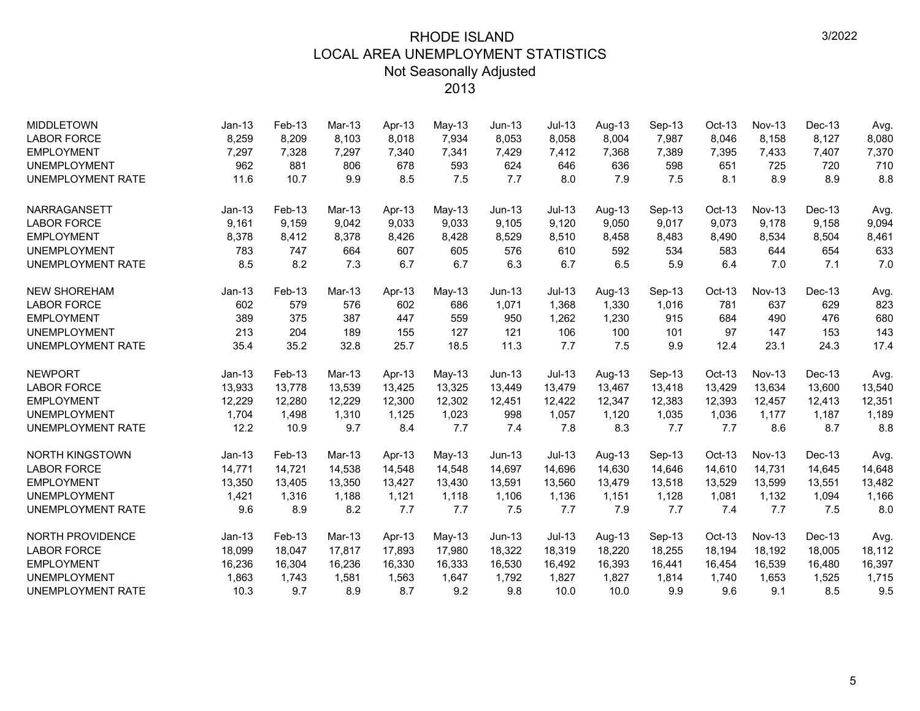| <b>MIDDLETOWN</b>        | $Jan-13$ | Feb-13 | $Mar-13$ | Apr-13 | $May-13$ | <b>Jun-13</b> | $Jul-13$ | Aug-13 | Sep-13 | $Oct-13$ | <b>Nov-13</b> | Dec-13 | Avg.   |
|--------------------------|----------|--------|----------|--------|----------|---------------|----------|--------|--------|----------|---------------|--------|--------|
| <b>LABOR FORCE</b>       | 8,259    | 8,209  | 8,103    | 8,018  | 7,934    | 8,053         | 8,058    | 8,004  | 7,987  | 8,046    | 8,158         | 8,127  | 8,080  |
| <b>EMPLOYMENT</b>        | 7,297    | 7,328  | 7,297    | 7,340  | 7,341    | 7,429         | 7,412    | 7,368  | 7,389  | 7,395    | 7,433         | 7,407  | 7,370  |
| <b>UNEMPLOYMENT</b>      | 962      | 881    | 806      | 678    | 593      | 624           | 646      | 636    | 598    | 651      | 725           | 720    | 710    |
| <b>UNEMPLOYMENT RATE</b> | 11.6     | 10.7   | 9.9      | 8.5    | 7.5      | 7.7           | 8.0      | 7.9    | 7.5    | 8.1      | 8.9           | 8.9    | 8.8    |
| <b>NARRAGANSETT</b>      | $Jan-13$ | Feb-13 | $Mar-13$ | Apr-13 | $May-13$ | $Jun-13$      | $Jul-13$ | Aug-13 | Sep-13 | Oct-13   | $Nov-13$      | Dec-13 | Avg.   |
| <b>LABOR FORCE</b>       | 9,161    | 9,159  | 9,042    | 9,033  | 9,033    | 9,105         | 9,120    | 9,050  | 9,017  | 9,073    | 9,178         | 9,158  | 9,094  |
| <b>EMPLOYMENT</b>        | 8,378    | 8,412  | 8,378    | 8,426  | 8,428    | 8,529         | 8,510    | 8,458  | 8,483  | 8,490    | 8,534         | 8,504  | 8,461  |
| <b>UNEMPLOYMENT</b>      | 783      | 747    | 664      | 607    | 605      | 576           | 610      | 592    | 534    | 583      | 644           | 654    | 633    |
| <b>UNEMPLOYMENT RATE</b> | 8.5      | 8.2    | 7.3      | 6.7    | 6.7      | 6.3           | 6.7      | 6.5    | 5.9    | 6.4      | 7.0           | 7.1    | 7.0    |
| <b>NEW SHOREHAM</b>      | $Jan-13$ | Feb-13 | Mar-13   | Apr-13 | May-13   | $Jun-13$      | $Jul-13$ | Aug-13 | Sep-13 | Oct-13   | Nov-13        | Dec-13 | Avg.   |
| <b>LABOR FORCE</b>       | 602      | 579    | 576      | 602    | 686      | 1,071         | 1,368    | 1,330  | 1,016  | 781      | 637           | 629    | 823    |
| <b>EMPLOYMENT</b>        | 389      | 375    | 387      | 447    | 559      | 950           | 1,262    | 1,230  | 915    | 684      | 490           | 476    | 680    |
| <b>UNEMPLOYMENT</b>      | 213      | 204    | 189      | 155    | 127      | 121           | 106      | 100    | 101    | 97       | 147           | 153    | 143    |
| <b>UNEMPLOYMENT RATE</b> | 35.4     | 35.2   | 32.8     | 25.7   | 18.5     | 11.3          | 7.7      | 7.5    | 9.9    | 12.4     | 23.1          | 24.3   | 17.4   |
| <b>NEWPORT</b>           | $Jan-13$ | Feb-13 | Mar-13   | Apr-13 | May-13   | $Jun-13$      | $Jul-13$ | Aug-13 | Sep-13 | Oct-13   | $Nov-13$      | Dec-13 | Avg.   |
| <b>LABOR FORCE</b>       | 13,933   | 13,778 | 13,539   | 13,425 | 13,325   | 13,449        | 13,479   | 13,467 | 13,418 | 13,429   | 13,634        | 13,600 | 13,540 |
| <b>EMPLOYMENT</b>        | 12,229   | 12,280 | 12,229   | 12,300 | 12,302   | 12,451        | 12,422   | 12,347 | 12,383 | 12,393   | 12,457        | 12,413 | 12,351 |
| <b>UNEMPLOYMENT</b>      | 1,704    | 1,498  | 1,310    | 1,125  | 1,023    | 998           | 1,057    | 1,120  | 1,035  | 1,036    | 1,177         | 1,187  | 1,189  |
| UNEMPLOYMENT RATE        | 12.2     | 10.9   | 9.7      | 8.4    | 7.7      | 7.4           | 7.8      | 8.3    | 7.7    | 7.7      | 8.6           | 8.7    | 8.8    |
| <b>NORTH KINGSTOWN</b>   | $Jan-13$ | Feb-13 | Mar-13   | Apr-13 | $May-13$ | $Jun-13$      | $Jul-13$ | Aug-13 | Sep-13 | Oct-13   | $Nov-13$      | Dec-13 | Avg.   |
| <b>LABOR FORCE</b>       | 14,771   | 14,721 | 14,538   | 14,548 | 14,548   | 14,697        | 14,696   | 14,630 | 14,646 | 14,610   | 14,731        | 14,645 | 14,648 |
| <b>EMPLOYMENT</b>        | 13,350   | 13,405 | 13,350   | 13,427 | 13,430   | 13,591        | 13,560   | 13,479 | 13,518 | 13,529   | 13,599        | 13,551 | 13,482 |
| <b>UNEMPLOYMENT</b>      | 1,421    | 1,316  | 1,188    | 1,121  | 1,118    | 1,106         | 1,136    | 1,151  | 1,128  | 1,081    | 1,132         | 1,094  | 1,166  |
| <b>UNEMPLOYMENT RATE</b> | 9.6      | 8.9    | 8.2      | 7.7    | 7.7      | 7.5           | 7.7      | 7.9    | 7.7    | 7.4      | 7.7           | 7.5    | 8.0    |
| <b>NORTH PROVIDENCE</b>  | $Jan-13$ | Feb-13 | Mar-13   | Apr-13 | May-13   | $Jun-13$      | $Jul-13$ | Aug-13 | Sep-13 | Oct-13   | $Nov-13$      | Dec-13 | Avg.   |
| <b>LABOR FORCE</b>       | 18,099   | 18,047 | 17,817   | 17,893 | 17,980   | 18,322        | 18,319   | 18,220 | 18,255 | 18,194   | 18,192        | 18,005 | 18,112 |
| <b>EMPLOYMENT</b>        | 16,236   | 16,304 | 16,236   | 16,330 | 16,333   | 16,530        | 16,492   | 16,393 | 16,441 | 16,454   | 16,539        | 16,480 | 16,397 |
| <b>UNEMPLOYMENT</b>      | 1,863    | 1,743  | 1,581    | 1,563  | 1,647    | 1,792         | 1,827    | 1,827  | 1,814  | 1,740    | 1,653         | 1,525  | 1,715  |
| <b>UNEMPLOYMENT RATE</b> | 10.3     | 9.7    | 8.9      | 8.7    | 9.2      | 9.8           | 10.0     | 10.0   | 9.9    | 9.6      | 9.1           | 8.5    | 9.5    |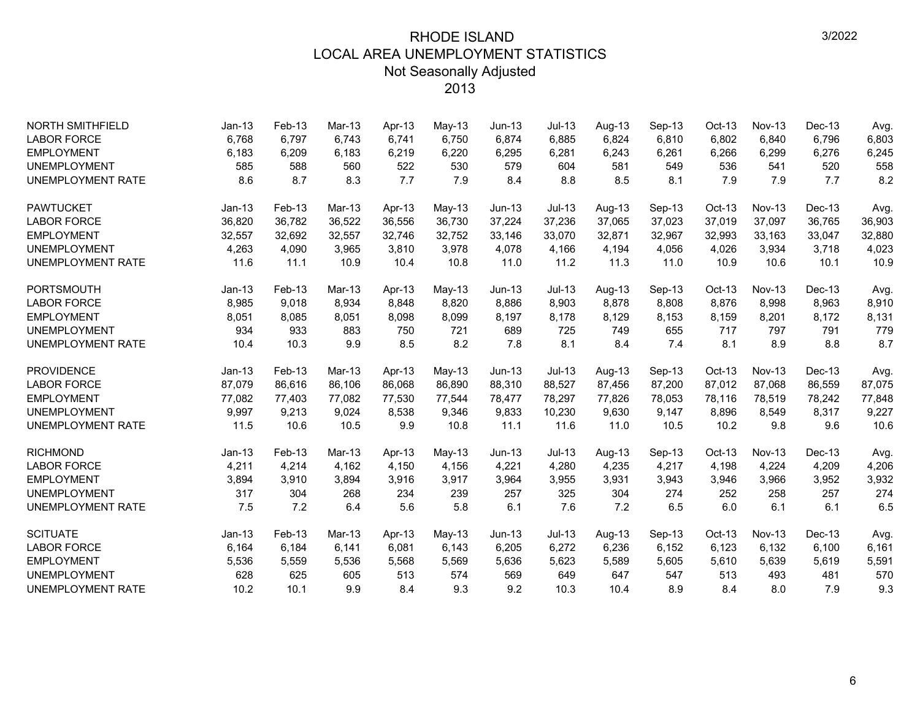| <b>NORTH SMITHFIELD</b>  | $Jan-13$ | Feb-13 | Mar-13   | Apr-13 | May-13   | $Jun-13$ | <b>Jul-13</b> | Aug-13 | Sep-13 | $Oct-13$ | <b>Nov-13</b> | Dec-13 | Avg.   |
|--------------------------|----------|--------|----------|--------|----------|----------|---------------|--------|--------|----------|---------------|--------|--------|
| <b>LABOR FORCE</b>       | 6,768    | 6,797  | 6.743    | 6,741  | 6,750    | 6.874    | 6.885         | 6.824  | 6,810  | 6,802    | 6,840         | 6,796  | 6.803  |
| <b>EMPLOYMENT</b>        | 6,183    | 6,209  | 6,183    | 6,219  | 6,220    | 6,295    | 6,281         | 6,243  | 6,261  | 6,266    | 6,299         | 6,276  | 6,245  |
| <b>UNEMPLOYMENT</b>      | 585      | 588    | 560      | 522    | 530      | 579      | 604           | 581    | 549    | 536      | 541           | 520    | 558    |
| <b>UNEMPLOYMENT RATE</b> | 8.6      | 8.7    | 8.3      | 7.7    | 7.9      | 8.4      | 8.8           | 8.5    | 8.1    | 7.9      | 7.9           | 7.7    | 8.2    |
| <b>PAWTUCKET</b>         | $Jan-13$ | Feb-13 | Mar-13   | Apr-13 | $May-13$ | $Jun-13$ | $Jul-13$      | Aug-13 | Sep-13 | Oct-13   | $Nov-13$      | Dec-13 | Avg.   |
| <b>LABOR FORCE</b>       | 36,820   | 36,782 | 36,522   | 36,556 | 36,730   | 37,224   | 37,236        | 37,065 | 37,023 | 37,019   | 37,097        | 36,765 | 36,903 |
| <b>EMPLOYMENT</b>        | 32,557   | 32,692 | 32,557   | 32,746 | 32,752   | 33,146   | 33,070        | 32,871 | 32,967 | 32,993   | 33,163        | 33,047 | 32,880 |
| <b>UNEMPLOYMENT</b>      | 4,263    | 4,090  | 3,965    | 3,810  | 3,978    | 4,078    | 4,166         | 4,194  | 4,056  | 4,026    | 3,934         | 3,718  | 4,023  |
| <b>UNEMPLOYMENT RATE</b> | 11.6     | 11.1   | 10.9     | 10.4   | 10.8     | 11.0     | 11.2          | 11.3   | 11.0   | 10.9     | 10.6          | 10.1   | 10.9   |
| <b>PORTSMOUTH</b>        | $Jan-13$ | Feb-13 | Mar-13   | Apr-13 | May-13   | Jun-13   | $Jul-13$      | Aug-13 | Sep-13 | Oct-13   | <b>Nov-13</b> | Dec-13 | Avg.   |
| <b>LABOR FORCE</b>       | 8,985    | 9,018  | 8,934    | 8,848  | 8,820    | 8,886    | 8,903         | 8,878  | 8,808  | 8,876    | 8,998         | 8,963  | 8,910  |
| <b>EMPLOYMENT</b>        | 8,051    | 8,085  | 8,051    | 8,098  | 8,099    | 8,197    | 8,178         | 8,129  | 8,153  | 8,159    | 8,201         | 8,172  | 8,131  |
| <b>UNEMPLOYMENT</b>      | 934      | 933    | 883      | 750    | 721      | 689      | 725           | 749    | 655    | 717      | 797           | 791    | 779    |
| <b>UNEMPLOYMENT RATE</b> | 10.4     | 10.3   | 9.9      | 8.5    | 8.2      | 7.8      | 8.1           | 8.4    | 7.4    | 8.1      | 8.9           | 8.8    | 8.7    |
| <b>PROVIDENCE</b>        | $Jan-13$ | Feb-13 | Mar-13   | Apr-13 | $May-13$ | $Jun-13$ | $Jul-13$      | Aug-13 | Sep-13 | Oct-13   | $Nov-13$      | Dec-13 | Avg.   |
| <b>LABOR FORCE</b>       | 87,079   | 86,616 | 86,106   | 86,068 | 86,890   | 88,310   | 88,527        | 87,456 | 87,200 | 87,012   | 87,068        | 86,559 | 87,075 |
| <b>EMPLOYMENT</b>        | 77,082   | 77,403 | 77,082   | 77,530 | 77,544   | 78,477   | 78,297        | 77,826 | 78,053 | 78,116   | 78,519        | 78,242 | 77,848 |
| <b>UNEMPLOYMENT</b>      | 9,997    | 9,213  | 9,024    | 8,538  | 9,346    | 9,833    | 10,230        | 9,630  | 9,147  | 8,896    | 8,549         | 8,317  | 9,227  |
| UNEMPLOYMENT RATE        | 11.5     | 10.6   | 10.5     | 9.9    | 10.8     | 11.1     | 11.6          | 11.0   | 10.5   | 10.2     | 9.8           | 9.6    | 10.6   |
| <b>RICHMOND</b>          | $Jan-13$ | Feb-13 | Mar-13   | Apr-13 | May-13   | $Jun-13$ | $Jul-13$      | Aug-13 | Sep-13 | Oct-13   | Nov-13        | Dec-13 | Avg.   |
| <b>LABOR FORCE</b>       | 4,211    | 4,214  | 4,162    | 4,150  | 4,156    | 4,221    | 4,280         | 4,235  | 4,217  | 4,198    | 4,224         | 4,209  | 4,206  |
| <b>EMPLOYMENT</b>        | 3,894    | 3,910  | 3,894    | 3,916  | 3,917    | 3,964    | 3,955         | 3,931  | 3,943  | 3,946    | 3,966         | 3,952  | 3,932  |
| <b>UNEMPLOYMENT</b>      | 317      | 304    | 268      | 234    | 239      | 257      | 325           | 304    | 274    | 252      | 258           | 257    | 274    |
| <b>UNEMPLOYMENT RATE</b> | 7.5      | 7.2    | 6.4      | 5.6    | 5.8      | 6.1      | 7.6           | 7.2    | 6.5    | 6.0      | 6.1           | 6.1    | 6.5    |
| <b>SCITUATE</b>          | $Jan-13$ | Feb-13 | $Mar-13$ | Apr-13 | $May-13$ | $Jun-13$ | $Jul-13$      | Aug-13 | Sep-13 | $Oct-13$ | $Nov-13$      | Dec-13 | Avg.   |
| <b>LABOR FORCE</b>       | 6,164    | 6,184  | 6,141    | 6,081  | 6,143    | 6,205    | 6,272         | 6,236  | 6,152  | 6,123    | 6,132         | 6,100  | 6,161  |
| <b>EMPLOYMENT</b>        | 5,536    | 5,559  | 5,536    | 5,568  | 5,569    | 5,636    | 5,623         | 5,589  | 5,605  | 5,610    | 5,639         | 5,619  | 5,591  |
| <b>UNEMPLOYMENT</b>      | 628      | 625    | 605      | 513    | 574      | 569      | 649           | 647    | 547    | 513      | 493           | 481    | 570    |
| <b>UNEMPLOYMENT RATE</b> | 10.2     | 10.1   | 9.9      | 8.4    | 9.3      | 9.2      | 10.3          | 10.4   | 8.9    | 8.4      | 8.0           | 7.9    | 9.3    |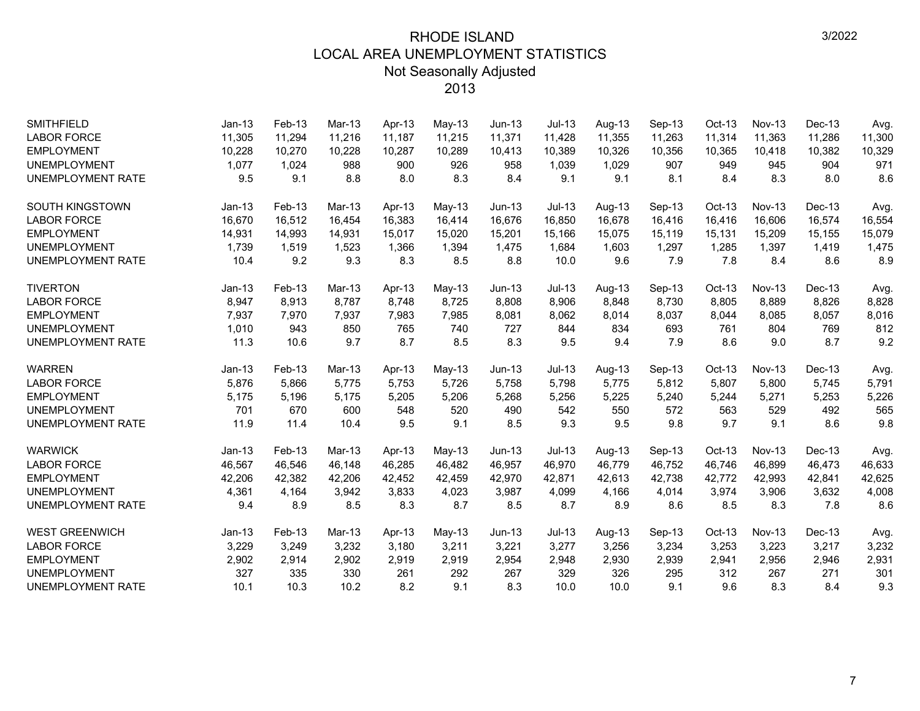| <b>SMITHFIELD</b>        | $Jan-13$ | Feb-13 | $Mar-13$ | Apr-13 | May-13   | $Jun-13$ | $Jul-13$ | Aug-13 | Sep-13 | $Oct-13$ | <b>Nov-13</b> | Dec-13 | Avg.   |
|--------------------------|----------|--------|----------|--------|----------|----------|----------|--------|--------|----------|---------------|--------|--------|
| <b>LABOR FORCE</b>       | 11,305   | 11,294 | 11,216   | 11,187 | 11,215   | 11,371   | 11,428   | 11,355 | 11,263 | 11,314   | 11,363        | 11,286 | 11,300 |
| <b>EMPLOYMENT</b>        | 10,228   | 10,270 | 10,228   | 10,287 | 10,289   | 10,413   | 10,389   | 10,326 | 10,356 | 10,365   | 10,418        | 10,382 | 10,329 |
| <b>UNEMPLOYMENT</b>      | 1,077    | 1,024  | 988      | 900    | 926      | 958      | 1,039    | 1,029  | 907    | 949      | 945           | 904    | 971    |
| <b>UNEMPLOYMENT RATE</b> | 9.5      | 9.1    | 8.8      | 8.0    | 8.3      | 8.4      | 9.1      | 9.1    | 8.1    | 8.4      | 8.3           | 8.0    | 8.6    |
| <b>SOUTH KINGSTOWN</b>   | $Jan-13$ | Feb-13 | $Mar-13$ | Apr-13 | $May-13$ | $Jun-13$ | $Jul-13$ | Aug-13 | Sep-13 | Oct-13   | <b>Nov-13</b> | Dec-13 | Avg.   |
| <b>LABOR FORCE</b>       | 16,670   | 16,512 | 16,454   | 16,383 | 16,414   | 16,676   | 16,850   | 16,678 | 16,416 | 16,416   | 16,606        | 16,574 | 16,554 |
| <b>EMPLOYMENT</b>        | 14,931   | 14,993 | 14,931   | 15,017 | 15,020   | 15,201   | 15,166   | 15,075 | 15,119 | 15,131   | 15,209        | 15,155 | 15,079 |
| <b>UNEMPLOYMENT</b>      | 1,739    | 1,519  | 1,523    | 1,366  | 1,394    | 1,475    | 1,684    | 1,603  | 1,297  | 1,285    | 1,397         | 1,419  | 1,475  |
| <b>UNEMPLOYMENT RATE</b> | 10.4     | 9.2    | 9.3      | 8.3    | 8.5      | 8.8      | 10.0     | 9.6    | 7.9    | 7.8      | 8.4           | 8.6    | 8.9    |
| <b>TIVERTON</b>          | $Jan-13$ | Feb-13 | $Mar-13$ | Apr-13 | May-13   | $Jun-13$ | $Jul-13$ | Aug-13 | Sep-13 | Oct-13   | <b>Nov-13</b> | Dec-13 | Avg.   |
| <b>LABOR FORCE</b>       | 8,947    | 8,913  | 8,787    | 8,748  | 8,725    | 8,808    | 8,906    | 8,848  | 8,730  | 8,805    | 8,889         | 8,826  | 8,828  |
| <b>EMPLOYMENT</b>        | 7,937    | 7,970  | 7,937    | 7,983  | 7,985    | 8,081    | 8,062    | 8,014  | 8,037  | 8,044    | 8,085         | 8,057  | 8,016  |
| <b>UNEMPLOYMENT</b>      | 1,010    | 943    | 850      | 765    | 740      | 727      | 844      | 834    | 693    | 761      | 804           | 769    | 812    |
| <b>UNEMPLOYMENT RATE</b> | 11.3     | 10.6   | 9.7      | 8.7    | 8.5      | 8.3      | 9.5      | 9.4    | 7.9    | 8.6      | 9.0           | 8.7    | 9.2    |
| <b>WARREN</b>            | $Jan-13$ | Feb-13 | $Mar-13$ | Apr-13 | May-13   | $Jun-13$ | $Jul-13$ | Aug-13 | Sep-13 | Oct-13   | <b>Nov-13</b> | Dec-13 | Avg.   |
| <b>LABOR FORCE</b>       | 5,876    | 5,866  | 5,775    | 5,753  | 5,726    | 5,758    | 5,798    | 5,775  | 5,812  | 5,807    | 5,800         | 5,745  | 5,791  |
| <b>EMPLOYMENT</b>        | 5,175    | 5,196  | 5,175    | 5,205  | 5,206    | 5,268    | 5,256    | 5,225  | 5,240  | 5,244    | 5,271         | 5,253  | 5,226  |
| <b>UNEMPLOYMENT</b>      | 701      | 670    | 600      | 548    | 520      | 490      | 542      | 550    | 572    | 563      | 529           | 492    | 565    |
| <b>UNEMPLOYMENT RATE</b> | 11.9     | 11.4   | 10.4     | 9.5    | 9.1      | 8.5      | 9.3      | 9.5    | 9.8    | 9.7      | 9.1           | 8.6    | 9.8    |
| <b>WARWICK</b>           | $Jan-13$ | Feb-13 | Mar-13   | Apr-13 | May-13   | $Jun-13$ | $Jul-13$ | Aug-13 | Sep-13 | Oct-13   | <b>Nov-13</b> | Dec-13 | Avg.   |
| <b>LABOR FORCE</b>       | 46,567   | 46,546 | 46,148   | 46,285 | 46,482   | 46,957   | 46,970   | 46,779 | 46,752 | 46,746   | 46,899        | 46,473 | 46,633 |
| <b>EMPLOYMENT</b>        | 42,206   | 42,382 | 42,206   | 42,452 | 42,459   | 42,970   | 42.871   | 42.613 | 42,738 | 42,772   | 42,993        | 42,841 | 42,625 |
| <b>UNEMPLOYMENT</b>      | 4,361    | 4,164  | 3,942    | 3,833  | 4,023    | 3,987    | 4,099    | 4,166  | 4,014  | 3,974    | 3,906         | 3,632  | 4,008  |
| <b>UNEMPLOYMENT RATE</b> | 9.4      | 8.9    | 8.5      | 8.3    | 8.7      | 8.5      | 8.7      | 8.9    | 8.6    | 8.5      | 8.3           | 7.8    | 8.6    |
| <b>WEST GREENWICH</b>    | $Jan-13$ | Feb-13 | Mar-13   | Apr-13 | $May-13$ | $Jun-13$ | $Jul-13$ | Aug-13 | Sep-13 | Oct-13   | <b>Nov-13</b> | Dec-13 | Avg.   |
| <b>LABOR FORCE</b>       | 3,229    | 3,249  | 3,232    | 3,180  | 3,211    | 3,221    | 3,277    | 3,256  | 3,234  | 3,253    | 3,223         | 3,217  | 3,232  |
| <b>EMPLOYMENT</b>        | 2,902    | 2,914  | 2,902    | 2,919  | 2,919    | 2,954    | 2,948    | 2,930  | 2,939  | 2,941    | 2,956         | 2,946  | 2,931  |
| <b>UNEMPLOYMENT</b>      | 327      | 335    | 330      | 261    | 292      | 267      | 329      | 326    | 295    | 312      | 267           | 271    | 301    |
| <b>UNEMPLOYMENT RATE</b> | 10.1     | 10.3   | 10.2     | 8.2    | 9.1      | 8.3      | 10.0     | 10.0   | 9.1    | 9.6      | 8.3           | 8.4    | 9.3    |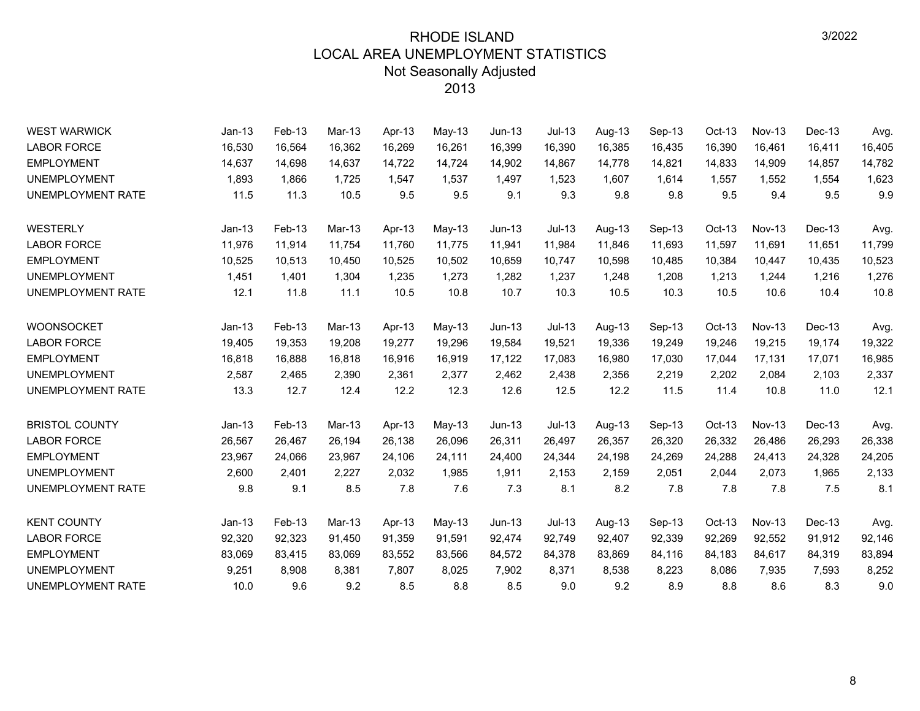| <b>WEST WARWICK</b>      | $Jan-13$ | Feb-13 | Mar-13 | Apr-13 | May-13   | $Jun-13$ | <b>Jul-13</b> | Aug-13 | Sep-13 | Oct-13 | <b>Nov-13</b> | Dec-13 | Avg.   |
|--------------------------|----------|--------|--------|--------|----------|----------|---------------|--------|--------|--------|---------------|--------|--------|
| <b>LABOR FORCE</b>       | 16,530   | 16,564 | 16,362 | 16,269 | 16,261   | 16,399   | 16,390        | 16,385 | 16,435 | 16,390 | 16,461        | 16,411 | 16,405 |
| <b>EMPLOYMENT</b>        | 14,637   | 14,698 | 14,637 | 14,722 | 14,724   | 14,902   | 14,867        | 14,778 | 14,821 | 14,833 | 14,909        | 14,857 | 14,782 |
| <b>UNEMPLOYMENT</b>      | 1,893    | 1,866  | 1,725  | 1,547  | 1,537    | 1,497    | 1,523         | 1,607  | 1,614  | 1,557  | 1,552         | 1,554  | 1,623  |
| UNEMPLOYMENT RATE        | 11.5     | 11.3   | 10.5   | 9.5    | 9.5      | 9.1      | 9.3           | 9.8    | 9.8    | 9.5    | 9.4           | 9.5    | 9.9    |
| WESTERLY                 | $Jan-13$ | Feb-13 | Mar-13 | Apr-13 | May-13   | $Jun-13$ | $Jul-13$      | Aug-13 | Sep-13 | Oct-13 | <b>Nov-13</b> | Dec-13 | Avg.   |
| <b>LABOR FORCE</b>       | 11,976   | 11,914 | 11,754 | 11,760 | 11,775   | 11,941   | 11,984        | 11,846 | 11,693 | 11,597 | 11,691        | 11,651 | 11,799 |
| <b>EMPLOYMENT</b>        | 10,525   | 10,513 | 10.450 | 10,525 | 10,502   | 10,659   | 10.747        | 10,598 | 10,485 | 10,384 | 10,447        | 10,435 | 10,523 |
| <b>UNEMPLOYMENT</b>      | 1,451    | 1,401  | 1,304  | 1,235  | 1,273    | 1.282    | 1,237         | 1,248  | 1,208  | 1,213  | 1.244         | 1,216  | 1,276  |
| UNEMPLOYMENT RATE        | 12.1     | 11.8   | 11.1   | 10.5   | 10.8     | 10.7     | 10.3          | 10.5   | 10.3   | 10.5   | 10.6          | 10.4   | 10.8   |
| <b>WOONSOCKET</b>        | $Jan-13$ | Feb-13 | Mar-13 | Apr-13 | May-13   | $Jun-13$ | $Jul-13$      | Aug-13 | Sep-13 | Oct-13 | Nov-13        | Dec-13 | Avg.   |
| <b>LABOR FORCE</b>       | 19,405   | 19,353 | 19,208 | 19,277 | 19,296   | 19,584   | 19,521        | 19,336 | 19,249 | 19,246 | 19,215        | 19,174 | 19,322 |
| <b>EMPLOYMENT</b>        | 16,818   | 16.888 | 16.818 | 16,916 | 16,919   | 17,122   | 17,083        | 16,980 | 17.030 | 17,044 | 17,131        | 17.071 | 16,985 |
| <b>UNEMPLOYMENT</b>      | 2,587    | 2,465  | 2,390  | 2,361  | 2,377    | 2,462    | 2,438         | 2,356  | 2,219  | 2,202  | 2,084         | 2,103  | 2,337  |
| UNEMPLOYMENT RATE        | 13.3     | 12.7   | 12.4   | 12.2   | 12.3     | 12.6     | 12.5          | 12.2   | 11.5   | 11.4   | 10.8          | 11.0   | 12.1   |
| <b>BRISTOL COUNTY</b>    | $Jan-13$ | Feb-13 | Mar-13 | Apr-13 | May-13   | $Jun-13$ | $Jul-13$      | Aug-13 | Sep-13 | Oct-13 | <b>Nov-13</b> | Dec-13 | Avg.   |
| <b>LABOR FORCE</b>       | 26,567   | 26,467 | 26,194 | 26,138 | 26,096   | 26,311   | 26,497        | 26,357 | 26,320 | 26,332 | 26,486        | 26,293 | 26,338 |
| <b>EMPLOYMENT</b>        | 23,967   | 24,066 | 23,967 | 24,106 | 24,111   | 24,400   | 24,344        | 24,198 | 24,269 | 24,288 | 24,413        | 24,328 | 24,205 |
| <b>UNEMPLOYMENT</b>      | 2,600    | 2,401  | 2,227  | 2,032  | 1,985    | 1,911    | 2,153         | 2,159  | 2,051  | 2,044  | 2,073         | 1,965  | 2,133  |
| UNEMPLOYMENT RATE        | 9.8      | 9.1    | 8.5    | 7.8    | 7.6      | 7.3      | 8.1           | 8.2    | 7.8    | 7.8    | 7.8           | 7.5    | 8.1    |
| <b>KENT COUNTY</b>       | $Jan-13$ | Feb-13 | Mar-13 | Apr-13 | $May-13$ | $Jun-13$ | $Jul-13$      | Aug-13 | Sep-13 | Oct-13 | <b>Nov-13</b> | Dec-13 | Avg.   |
| <b>LABOR FORCE</b>       | 92,320   | 92,323 | 91,450 | 91,359 | 91,591   | 92,474   | 92,749        | 92,407 | 92,339 | 92,269 | 92,552        | 91,912 | 92,146 |
| <b>EMPLOYMENT</b>        | 83,069   | 83,415 | 83,069 | 83,552 | 83,566   | 84,572   | 84,378        | 83,869 | 84,116 | 84,183 | 84,617        | 84,319 | 83,894 |
| <b>UNEMPLOYMENT</b>      | 9,251    | 8,908  | 8,381  | 7,807  | 8,025    | 7,902    | 8,371         | 8,538  | 8,223  | 8,086  | 7,935         | 7,593  | 8,252  |
| <b>UNEMPLOYMENT RATE</b> | 10.0     | 9.6    | 9.2    | 8.5    | 8.8      | 8.5      | 9.0           | 9.2    | 8.9    | 8.8    | 8.6           | 8.3    | 9.0    |